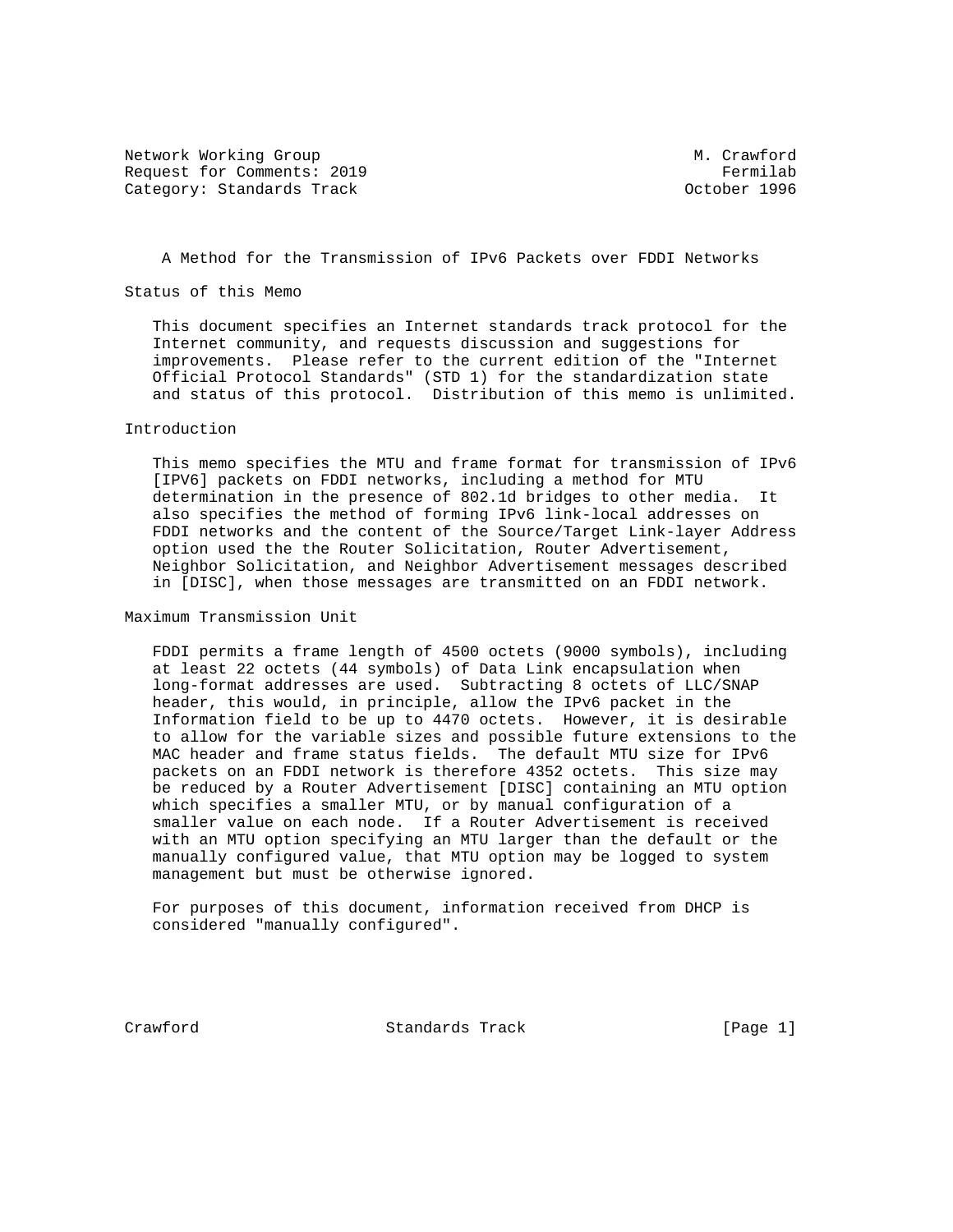Network Working Group M. Crawford Request for Comments: 2019 **Fermilab** Category: Standards Track Category: Standards Track Category: October 1996

A Method for the Transmission of IPv6 Packets over FDDI Networks

Status of this Memo

 This document specifies an Internet standards track protocol for the Internet community, and requests discussion and suggestions for improvements. Please refer to the current edition of the "Internet Official Protocol Standards" (STD 1) for the standardization state and status of this protocol. Distribution of this memo is unlimited.

## Introduction

 This memo specifies the MTU and frame format for transmission of IPv6 [IPV6] packets on FDDI networks, including a method for MTU determination in the presence of 802.1d bridges to other media. It also specifies the method of forming IPv6 link-local addresses on FDDI networks and the content of the Source/Target Link-layer Address option used the the Router Solicitation, Router Advertisement, Neighbor Solicitation, and Neighbor Advertisement messages described in [DISC], when those messages are transmitted on an FDDI network.

Maximum Transmission Unit

 FDDI permits a frame length of 4500 octets (9000 symbols), including at least 22 octets (44 symbols) of Data Link encapsulation when long-format addresses are used. Subtracting 8 octets of LLC/SNAP header, this would, in principle, allow the IPv6 packet in the Information field to be up to 4470 octets. However, it is desirable to allow for the variable sizes and possible future extensions to the MAC header and frame status fields. The default MTU size for IPv6 packets on an FDDI network is therefore 4352 octets. This size may be reduced by a Router Advertisement [DISC] containing an MTU option which specifies a smaller MTU, or by manual configuration of a smaller value on each node. If a Router Advertisement is received with an MTU option specifying an MTU larger than the default or the manually configured value, that MTU option may be logged to system management but must be otherwise ignored.

 For purposes of this document, information received from DHCP is considered "manually configured".

Crawford Standards Track [Page 1]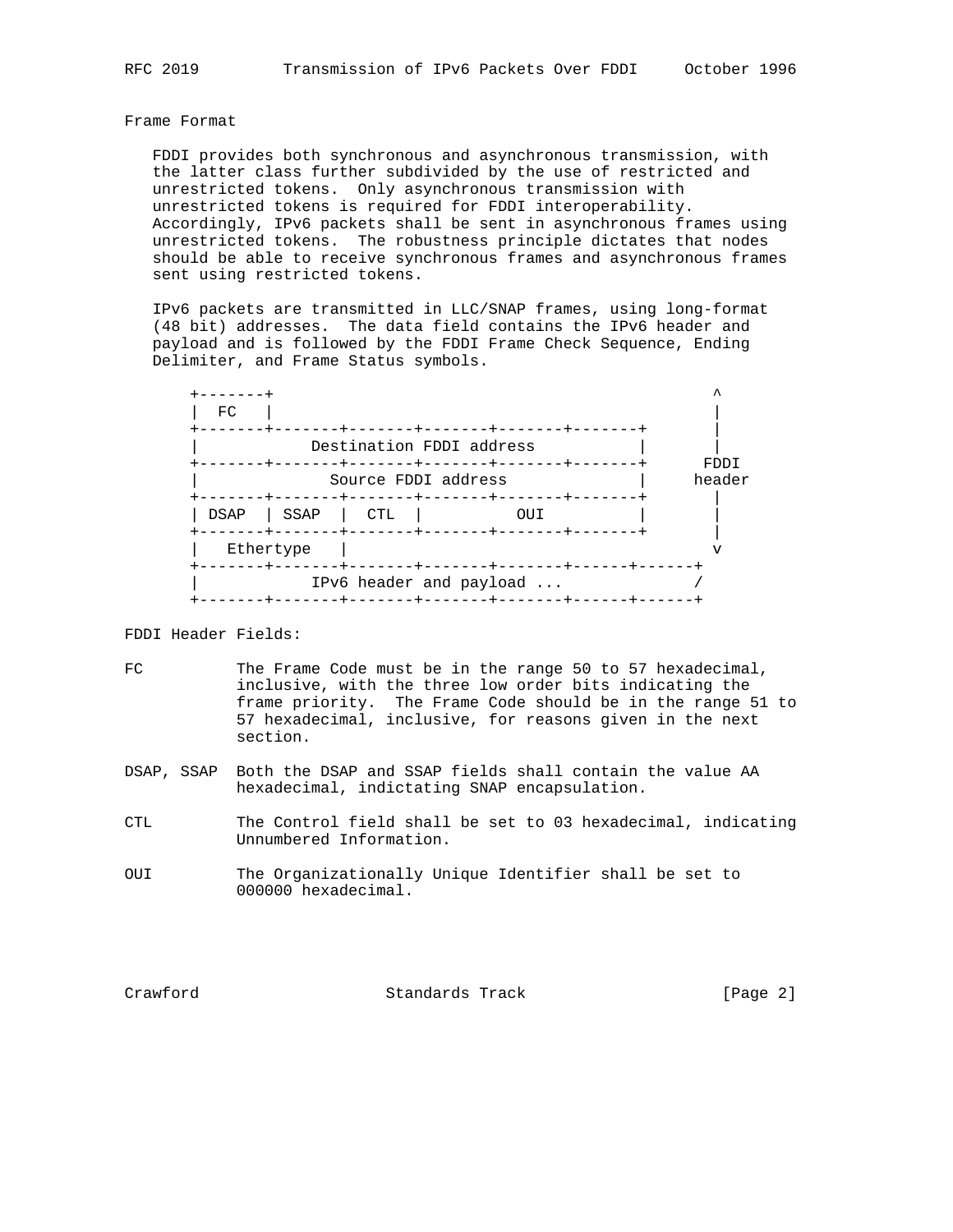## Frame Format

 FDDI provides both synchronous and asynchronous transmission, with the latter class further subdivided by the use of restricted and unrestricted tokens. Only asynchronous transmission with unrestricted tokens is required for FDDI interoperability. Accordingly, IPv6 packets shall be sent in asynchronous frames using unrestricted tokens. The robustness principle dictates that nodes should be able to receive synchronous frames and asynchronous frames sent using restricted tokens.

 IPv6 packets are transmitted in LLC/SNAP frames, using long-format (48 bit) addresses. The data field contains the IPv6 header and payload and is followed by the FDDI Frame Check Sequence, Ending Delimiter, and Frame Status symbols.

| FC                  |           |     |                                     |      |  |  |
|---------------------|-----------|-----|-------------------------------------|------|--|--|
|                     |           |     | Destination FDDI address<br>-----+- | FDDI |  |  |
| Source FDDI address |           |     |                                     |      |  |  |
| DSAP                | SSAP      | CTL | OUI                                 |      |  |  |
|                     | Ethertype |     |                                     |      |  |  |
|                     |           |     | IPv6 header and payload             |      |  |  |

## FDDI Header Fields:

- FC The Frame Code must be in the range 50 to 57 hexadecimal, inclusive, with the three low order bits indicating the frame priority. The Frame Code should be in the range 51 to 57 hexadecimal, inclusive, for reasons given in the next section.
- DSAP, SSAP Both the DSAP and SSAP fields shall contain the value AA hexadecimal, indictating SNAP encapsulation.
- CTL The Control field shall be set to 03 hexadecimal, indicating Unnumbered Information.
- OUI The Organizationally Unique Identifier shall be set to 000000 hexadecimal.

Crawford Standards Track [Page 2]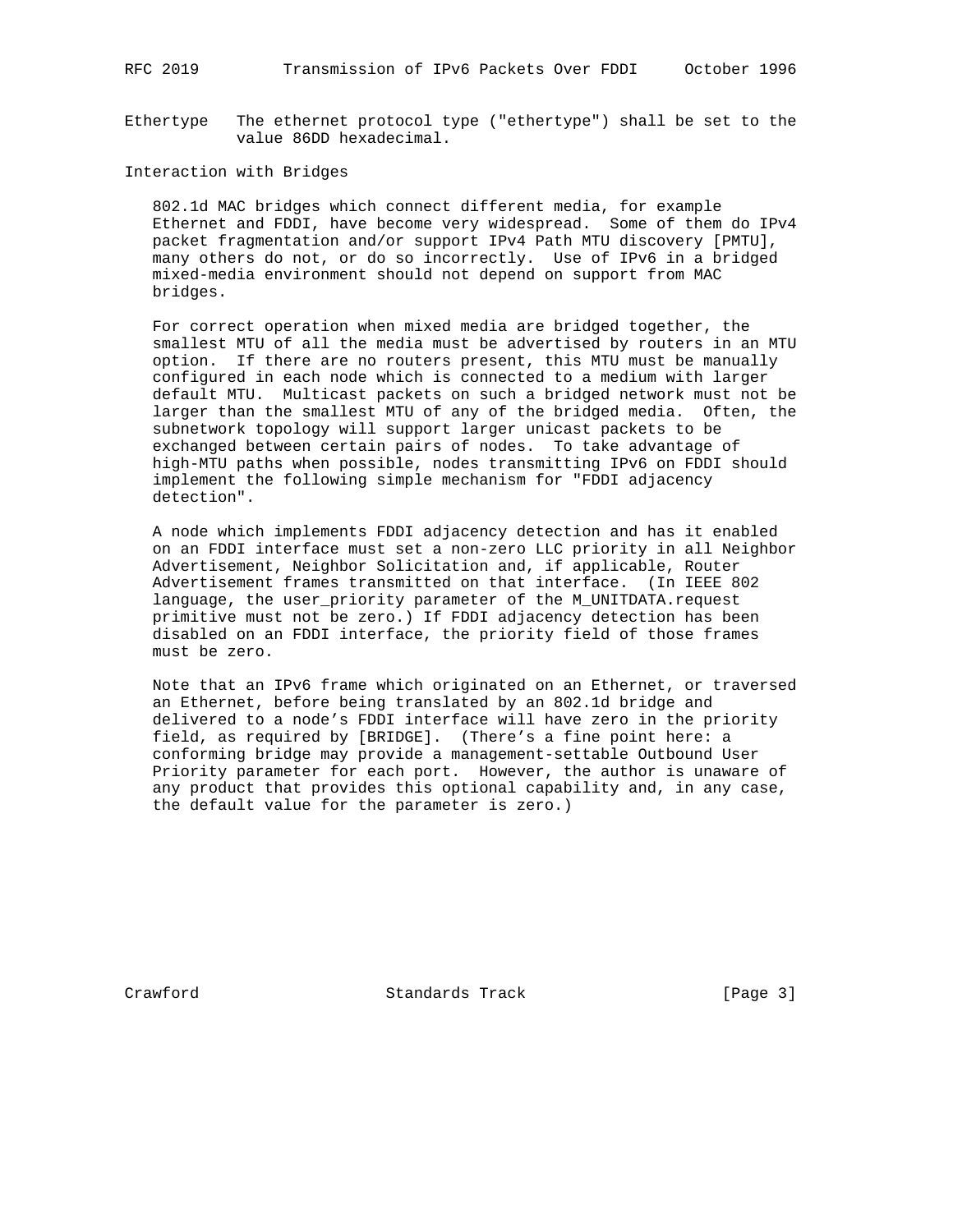RFC 2019 Transmission of IPv6 Packets Over FDDI October 1996

Ethertype The ethernet protocol type ("ethertype") shall be set to the value 86DD hexadecimal.

## Interaction with Bridges

 802.1d MAC bridges which connect different media, for example Ethernet and FDDI, have become very widespread. Some of them do IPv4 packet fragmentation and/or support IPv4 Path MTU discovery [PMTU], many others do not, or do so incorrectly. Use of IPv6 in a bridged mixed-media environment should not depend on support from MAC bridges.

 For correct operation when mixed media are bridged together, the smallest MTU of all the media must be advertised by routers in an MTU option. If there are no routers present, this MTU must be manually configured in each node which is connected to a medium with larger default MTU. Multicast packets on such a bridged network must not be larger than the smallest MTU of any of the bridged media. Often, the subnetwork topology will support larger unicast packets to be exchanged between certain pairs of nodes. To take advantage of high-MTU paths when possible, nodes transmitting IPv6 on FDDI should implement the following simple mechanism for "FDDI adjacency detection".

 A node which implements FDDI adjacency detection and has it enabled on an FDDI interface must set a non-zero LLC priority in all Neighbor Advertisement, Neighbor Solicitation and, if applicable, Router Advertisement frames transmitted on that interface. (In IEEE 802 language, the user\_priority parameter of the M\_UNITDATA.request primitive must not be zero.) If FDDI adjacency detection has been disabled on an FDDI interface, the priority field of those frames must be zero.

 Note that an IPv6 frame which originated on an Ethernet, or traversed an Ethernet, before being translated by an 802.1d bridge and delivered to a node's FDDI interface will have zero in the priority field, as required by [BRIDGE]. (There's a fine point here: a conforming bridge may provide a management-settable Outbound User Priority parameter for each port. However, the author is unaware of any product that provides this optional capability and, in any case, the default value for the parameter is zero.)

Crawford **Standards Track** [Page 3]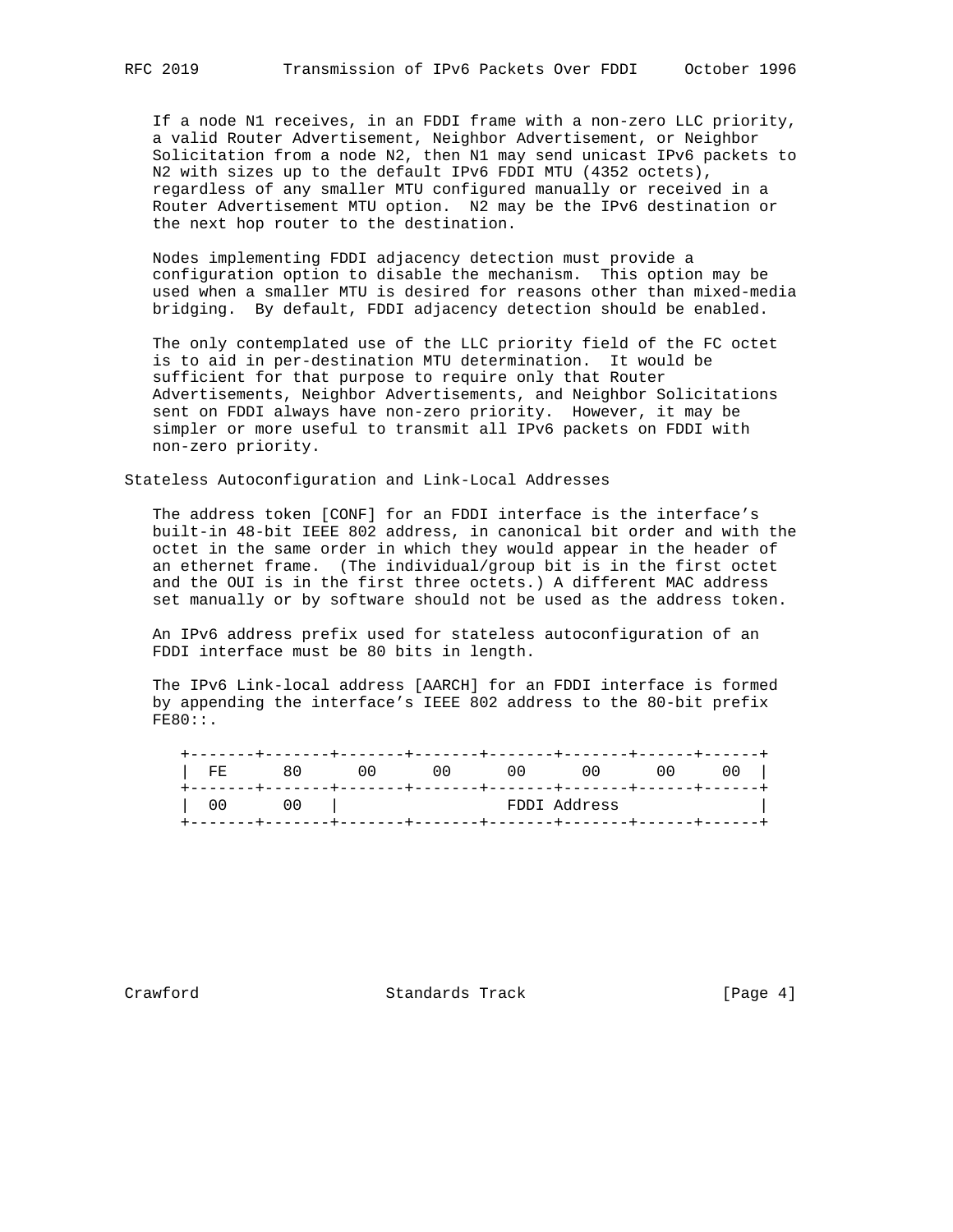If a node N1 receives, in an FDDI frame with a non-zero LLC priority, a valid Router Advertisement, Neighbor Advertisement, or Neighbor Solicitation from a node N2, then N1 may send unicast IPv6 packets to N2 with sizes up to the default IPv6 FDDI MTU (4352 octets), regardless of any smaller MTU configured manually or received in a Router Advertisement MTU option. N2 may be the IPv6 destination or the next hop router to the destination.

 Nodes implementing FDDI adjacency detection must provide a configuration option to disable the mechanism. This option may be used when a smaller MTU is desired for reasons other than mixed-media bridging. By default, FDDI adjacency detection should be enabled.

 The only contemplated use of the LLC priority field of the FC octet is to aid in per-destination MTU determination. It would be sufficient for that purpose to require only that Router Advertisements, Neighbor Advertisements, and Neighbor Solicitations sent on FDDI always have non-zero priority. However, it may be simpler or more useful to transmit all IPv6 packets on FDDI with non-zero priority.

Stateless Autoconfiguration and Link-Local Addresses

 The address token [CONF] for an FDDI interface is the interface's built-in 48-bit IEEE 802 address, in canonical bit order and with the octet in the same order in which they would appear in the header of an ethernet frame. (The individual/group bit is in the first octet and the OUI is in the first three octets.) A different MAC address set manually or by software should not be used as the address token.

 An IPv6 address prefix used for stateless autoconfiguration of an FDDI interface must be 80 bits in length.

 The IPv6 Link-local address [AARCH] for an FDDI interface is formed by appending the interface's IEEE 802 address to the 80-bit prefix FE80::.

| FDDI Address | FE | 80 | 00 | O O | ,,,, | 00 | 00 | U U |
|--------------|----|----|----|-----|------|----|----|-----|
|              |    |    |    |     |      |    |    |     |

Crawford **Standards Track** [Page 4]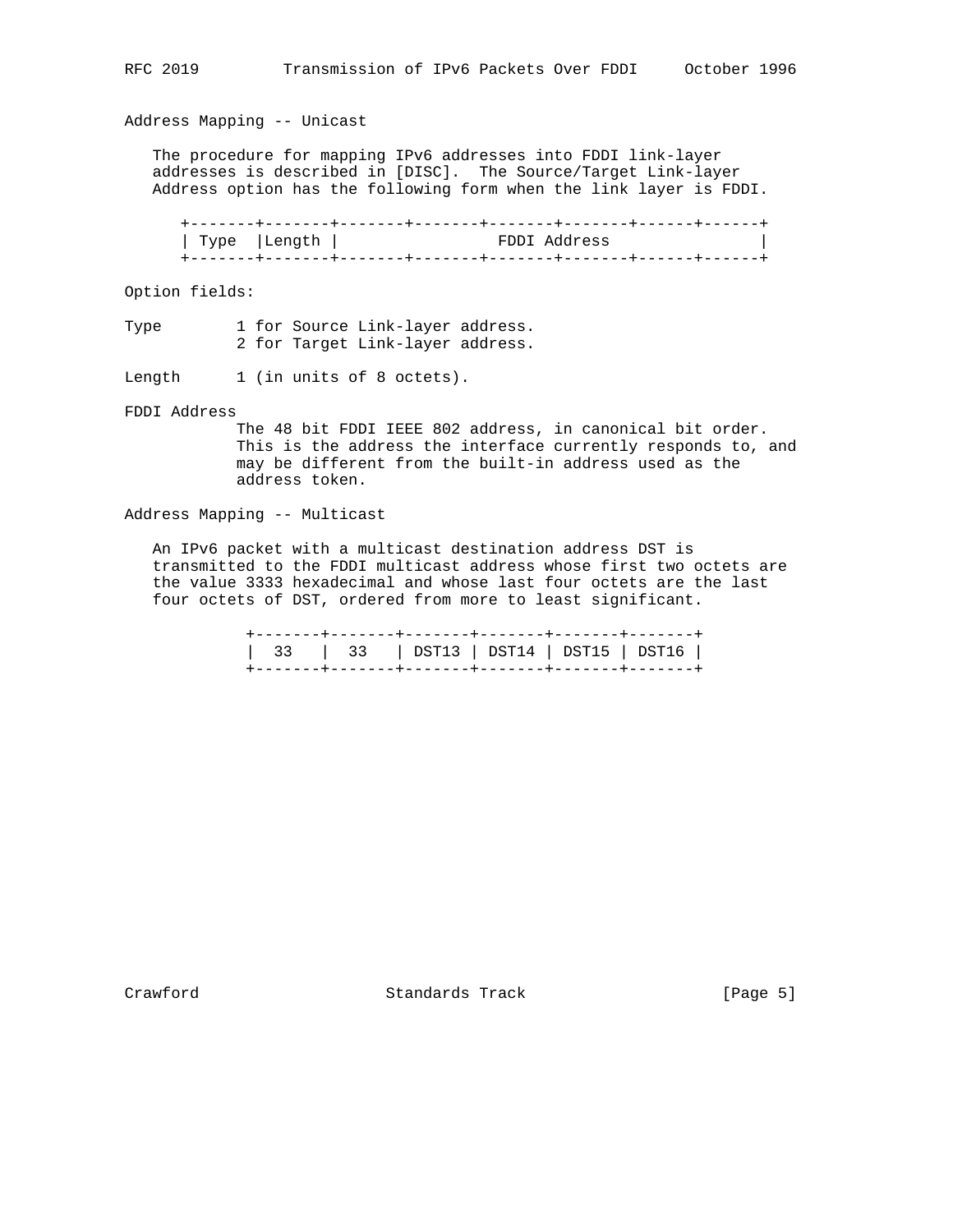Address Mapping -- Unicast

 The procedure for mapping IPv6 addresses into FDDI link-layer addresses is described in [DISC]. The Source/Target Link-layer Address option has the following form when the link layer is FDDI.

 +-------+-------+-------+-------+-------+-------+------+------+ | Type |Length | FDDI Address | +-------+-------+-------+-------+-------+-------+------+------+

Option fields:

Type 1 for Source Link-layer address. 2 for Target Link-layer address.

Length 1 (in units of 8 octets).

FDDI Address

 The 48 bit FDDI IEEE 802 address, in canonical bit order. This is the address the interface currently responds to, and may be different from the built-in address used as the address token.

Address Mapping -- Multicast

 An IPv6 packet with a multicast destination address DST is transmitted to the FDDI multicast address whose first two octets are the value 3333 hexadecimal and whose last four octets are the last four octets of DST, ordered from more to least significant.

> +-------+-------+-------+-------+-------+-------+ | 33 | 33 | DST13 | DST14 | DST15 | DST16 | +-------+-------+-------+-------+-------+-------+

Crawford **Standards Track** [Page 5]